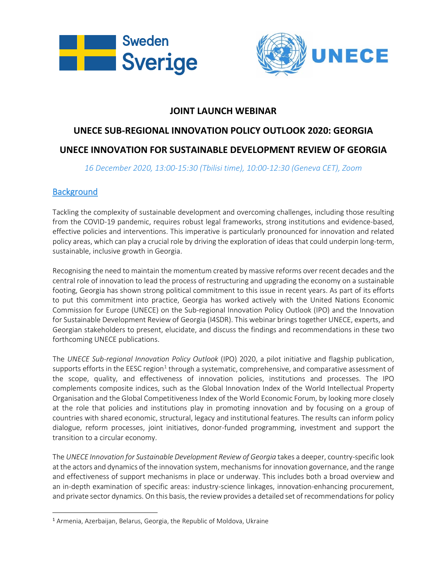



## **JOINT LAUNCH WEBINAR**

# **UNECE SUB-REGIONAL INNOVATION POLICY OUTLOOK 2020: GEORGIA**

### **UNECE INNOVATION FOR SUSTAINABLE DEVELOPMENT REVIEW OF GEORGIA**

*16 December 2020, 13:00-15:30 (Tbilisi time), 10:00-12:30 (Geneva CET), Zoom*

#### **Background**

Tackling the complexity of sustainable development and overcoming challenges, including those resulting from the COVID-19 pandemic, requires robust legal frameworks, strong institutions and evidence-based, effective policies and interventions. This imperative is particularly pronounced for innovation and related policy areas, which can play a crucial role by driving the exploration of ideas that could underpin long-term, sustainable, inclusive growth in Georgia.

Recognising the need to maintain the momentum created by massive reforms over recent decades and the central role of innovation to lead the process of restructuring and upgrading the economy on a sustainable footing, Georgia has shown strong political commitment to this issue in recent years. As part of its efforts to put this commitment into practice, Georgia has worked actively with the United Nations Economic Commission for Europe (UNECE) on the Sub-regional Innovation Policy Outlook (IPO) and the Innovation for Sustainable Development Review of Georgia (I4SDR). This webinar brings together UNECE, experts, and Georgian stakeholders to present, elucidate, and discuss the findings and recommendations in these two forthcoming UNECE publications.

The *UNECE Sub-regional Innovation Policy Outlook* (IPO) 2020, a pilot initiative and flagship publication, supports efforts in the EESC region<sup>[1](#page-0-0)</sup> through a systematic, comprehensive, and comparative assessment of the scope, quality, and effectiveness of innovation policies, institutions and processes. The IPO complements composite indices, such as the Global Innovation Index of the World Intellectual Property Organisation and the Global Competitiveness Index of the World Economic Forum, by looking more closely at the role that policies and institutions play in promoting innovation and by focusing on a group of countries with shared economic, structural, legacy and institutional features. The results can inform policy dialogue, reform processes, joint initiatives, donor-funded programming, investment and support the transition to a circular economy.

The *UNECE Innovation for Sustainable Development Review of Georgia* takes a deeper, country-specific look at the actors and dynamics of the innovation system, mechanisms for innovation governance, and the range and effectiveness of support mechanisms in place or underway. This includes both a broad overview and an in-depth examination of specific areas: industry-science linkages, innovation-enhancing procurement, and private sector dynamics. On this basis, the review provides a detailed set of recommendations for policy

<span id="page-0-0"></span><sup>1</sup> Armenia, Azerbaijan, Belarus, Georgia, the Republic of Moldova, Ukraine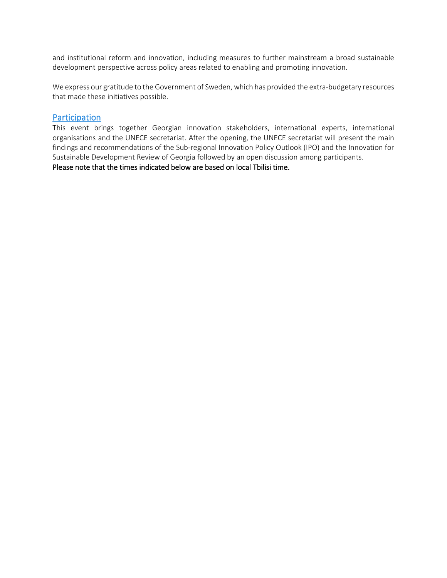and institutional reform and innovation, including measures to further mainstream a broad sustainable development perspective across policy areas related to enabling and promoting innovation.

We express our gratitude to the Government of Sweden, which has provided the extra-budgetary resources that made these initiatives possible.

#### **Participation**

This event brings together Georgian innovation stakeholders, international experts, international organisations and the UNECE secretariat. After the opening, the UNECE secretariat will present the main findings and recommendations of the Sub-regional Innovation Policy Outlook (IPO) and the Innovation for Sustainable Development Review of Georgia followed by an open discussion among participants.

Please note that the times indicated below are based on local Tbilisi time.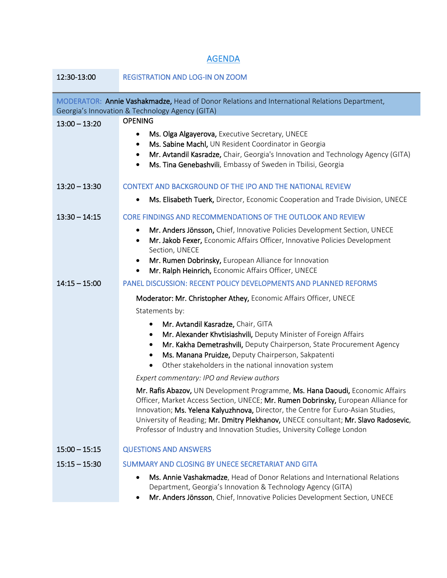# AGENDA

| 12:30-13:00                                                                                                                                      | <b>REGISTRATION AND LOG-IN ON ZOOM</b>                                                                                                                                                                                                                                                                                                                                                                                   |
|--------------------------------------------------------------------------------------------------------------------------------------------------|--------------------------------------------------------------------------------------------------------------------------------------------------------------------------------------------------------------------------------------------------------------------------------------------------------------------------------------------------------------------------------------------------------------------------|
| MODERATOR: Annie Vashakmadze, Head of Donor Relations and International Relations Department,<br>Georgia's Innovation & Technology Agency (GITA) |                                                                                                                                                                                                                                                                                                                                                                                                                          |
| $13:00 - 13:20$                                                                                                                                  | <b>OPENING</b><br>Ms. Olga Algayerova, Executive Secretary, UNECE<br>٠<br>Ms. Sabine Machl, UN Resident Coordinator in Georgia<br>٠<br>Mr. Avtandil Kasradze, Chair, Georgia's Innovation and Technology Agency (GITA)<br>٠<br>Ms. Tina Genebashvili, Embassy of Sweden in Tbilisi, Georgia<br>$\bullet$                                                                                                                 |
| $13:20 - 13:30$                                                                                                                                  | <b>CONTEXT AND BACKGROUND OF THE IPO AND THE NATIONAL REVIEW</b>                                                                                                                                                                                                                                                                                                                                                         |
|                                                                                                                                                  | Ms. Elisabeth Tuerk, Director, Economic Cooperation and Trade Division, UNECE                                                                                                                                                                                                                                                                                                                                            |
| $13:30 - 14:15$                                                                                                                                  | <b>CORE FINDINGS AND RECOMMENDATIONS OF THE OUTLOOK AND REVIEW</b>                                                                                                                                                                                                                                                                                                                                                       |
|                                                                                                                                                  | Mr. Anders Jönsson, Chief, Innovative Policies Development Section, UNECE<br>٠<br>Mr. Jakob Fexer, Economic Affairs Officer, Innovative Policies Development<br>$\bullet$<br>Section, UNECE<br>Mr. Rumen Dobrinsky, European Alliance for Innovation<br>$\bullet$<br>Mr. Ralph Heinrich, Economic Affairs Officer, UNECE<br>$\bullet$                                                                                    |
| $14:15 - 15:00$                                                                                                                                  | PANEL DISCUSSION: RECENT POLICY DEVELOPMENTS AND PLANNED REFORMS                                                                                                                                                                                                                                                                                                                                                         |
|                                                                                                                                                  | Moderator: Mr. Christopher Athey, Economic Affairs Officer, UNECE                                                                                                                                                                                                                                                                                                                                                        |
|                                                                                                                                                  | Statements by:                                                                                                                                                                                                                                                                                                                                                                                                           |
|                                                                                                                                                  | Mr. Avtandil Kasradze, Chair, GITA<br>٠<br>Mr. Alexander Khvtisiashvili, Deputy Minister of Foreign Affairs<br>$\bullet$<br>Mr. Kakha Demetrashvili, Deputy Chairperson, State Procurement Agency<br>٠<br>Ms. Manana Pruidze, Deputy Chairperson, Sakpatenti<br>Other stakeholders in the national innovation system<br>$\bullet$                                                                                        |
|                                                                                                                                                  | Expert commentary: IPO and Review authors                                                                                                                                                                                                                                                                                                                                                                                |
|                                                                                                                                                  | Mr. Rafis Abazov, UN Development Programme, Ms. Hana Daoudi, Economic Affairs<br>Officer, Market Access Section, UNECE; Mr. Rumen Dobrinsky, European Alliance for<br>Innovation; Ms. Yelena Kalyuzhnova, Director, the Centre for Euro-Asian Studies,<br>University of Reading; Mr. Dmitry Plekhanov, UNECE consultant; Mr. Slavo Radosevic,<br>Professor of Industry and Innovation Studies, University College London |
| $15:00 - 15:15$                                                                                                                                  | <b>QUESTIONS AND ANSWERS</b>                                                                                                                                                                                                                                                                                                                                                                                             |
| $15:15 - 15:30$                                                                                                                                  | SUMMARY AND CLOSING BY UNECE SECRETARIAT AND GITA                                                                                                                                                                                                                                                                                                                                                                        |
|                                                                                                                                                  | Ms. Annie Vashakmadze, Head of Donor Relations and International Relations<br>$\bullet$<br>Department, Georgia's Innovation & Technology Agency (GITA)<br>Mr. Anders Jönsson, Chief, Innovative Policies Development Section, UNECE                                                                                                                                                                                      |